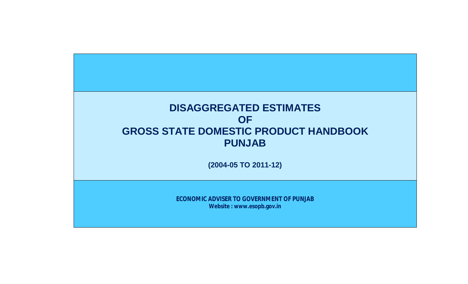## **DISAGGREGATED ESTIMATES OF GROSS STATE DOMESTIC PRODUCT HANDBOOK PUNJAB**

**(2004-05 TO 2011-12)**

**ECONOMIC ADVISER TO GOVERNMENT OF PUNJAB Website : www.esopb.gov.in**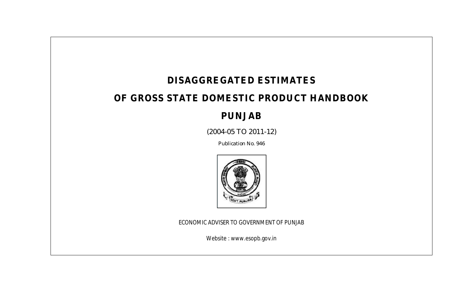## **DISAGGREGATED ESTIMATES**

## **OF GROSS STATE DOMESTIC PRODUCT HANDBOOK**

### **PUNJAB**

(2004-05 TO 2011-12)

Publication No. 946



ECONOMIC ADVISER TO GOVERNMENT OF PUNJAB

Website : www.esopb.gov.in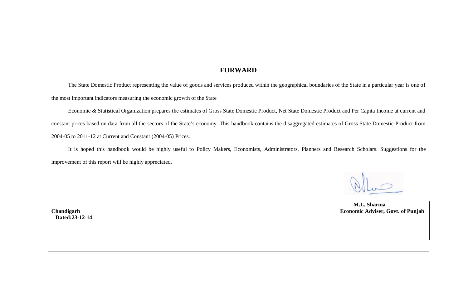#### **FORWARD**

The State Domestic Product representing the value of goods and services produced within the geographical boundaries of the State in a particular year is one of the most important indicators measuring the economic growth of the State

Economic & Statistical Organization prepares the estimates of Gross State Domestic Product, Net State Domestic Product and Per Capita Income at current and constant prices based on data from all the sectors of the State's economy. This handbook contains the disaggregated estimates of Gross State Domestic Product from 2004-05 to 2011-12 at Current and Constant (2004-05) Prices.

It is hoped this handbook would be highly useful to Policy Makers, Economists, Administrators, Planners and Research Scholars. Suggestions for the improvement of this report will be highly appreciated.

 **M.L. Sharma Economic Adviser, Govt. of Punjab** 

**Chandigarh Dated:23-12-14**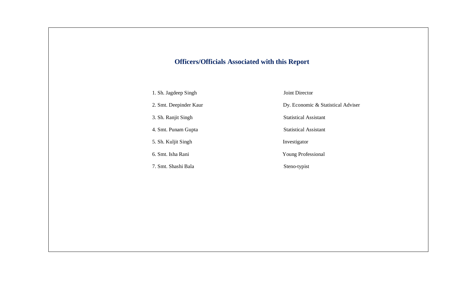#### **Officers/Officials Associated with this Report**

1. Sh. Jagdeep Singh Joint Director

5. Sh. Kuljit Singh Investigator

7. Smt. Shashi Bala Steno-typist

2. Smt. Deepinder Kaur Dy. Economic & Statistical Adviser

3. Sh. Ranjit Singh Statistical Assistant

4. Smt. Punam Gupta Statistical Assistant

6. Smt. Isha Rani Young Professional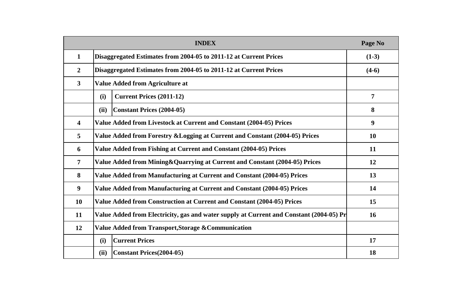|                         | <b>INDEX</b>                                                                            | Page No        |
|-------------------------|-----------------------------------------------------------------------------------------|----------------|
| $\mathbf{1}$            | Disaggregated Estimates from 2004-05 to 2011-12 at Current Prices                       | $(1-3)$        |
| $\overline{2}$          | Disaggregated Estimates from 2004-05 to 2011-12 at Current Prices                       | $(4-6)$        |
| $\overline{\mathbf{3}}$ | <b>Value Added from Agriculture at</b>                                                  |                |
|                         | <b>Current Prices (2011-12)</b><br>(i)                                                  | $\overline{7}$ |
|                         | <b>Constant Prices (2004-05)</b><br>(ii)                                                | 8              |
| 4                       | Value Added from Livestock at Current and Constant (2004-05) Prices                     | 9              |
| 5                       | Value Added from Forestry & Logging at Current and Constant (2004-05) Prices            | <b>10</b>      |
| 6                       | Value Added from Fishing at Current and Constant (2004-05) Prices                       | 11             |
| $\overline{7}$          | Value Added from Mining & Quarrying at Current and Constant (2004-05) Prices            | 12             |
| 8                       | Value Added from Manufacturing at Current and Constant (2004-05) Prices                 | 13             |
| $\boldsymbol{9}$        | Value Added from Manufacturing at Current and Constant (2004-05) Prices                 | 14             |
| <b>10</b>               | Value Added from Construction at Current and Constant (2004-05) Prices                  | 15             |
| 11                      | Value Added from Electricity, gas and water supply at Current and Constant (2004-05) Pr | <b>16</b>      |
| 12                      | Value Added from Transport, Storage & Communication                                     |                |
|                         | <b>Current Prices</b><br>(i)                                                            | 17             |
|                         | (ii)<br><b>Constant Prices</b> (2004-05)                                                | 18             |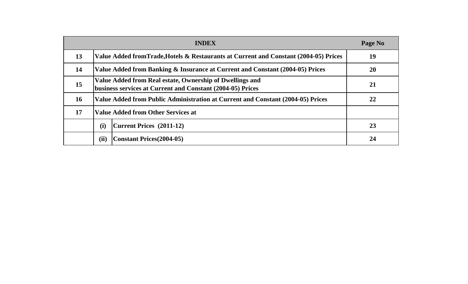|           | <b>INDEX</b>                                                                                                           | Page No   |  |
|-----------|------------------------------------------------------------------------------------------------------------------------|-----------|--|
| 13        | Value Added fromTrade, Hotels & Restaurants at Current and Constant (2004-05) Prices                                   | 19        |  |
| 14        | Value Added from Banking & Insurance at Current and Constant (2004-05) Prices                                          | <b>20</b> |  |
| 15        | Value Added from Real estate, Ownership of Dwellings and<br>business services at Current and Constant (2004-05) Prices | 21        |  |
| <b>16</b> | Value Added from Public Administration at Current and Constant (2004-05) Prices                                        | 22        |  |
| 17        | <b>Value Added from Other Services at</b>                                                                              |           |  |
|           | (i)<br>Current Prices (2011-12)                                                                                        | 23        |  |
|           | (ii)<br><b>Constant Prices</b> (2004-05)                                                                               | 24        |  |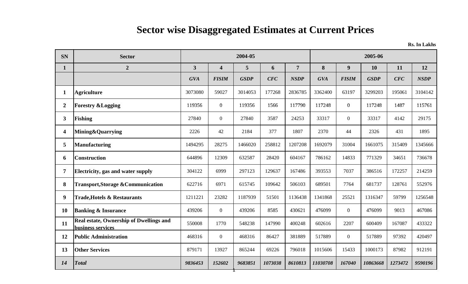| <b>SN</b>               | <b>Sector</b>                                                |                         |                         | 2004-05     |         |                |            |                  | 2005-06     |           |             |
|-------------------------|--------------------------------------------------------------|-------------------------|-------------------------|-------------|---------|----------------|------------|------------------|-------------|-----------|-------------|
| $\mathbf{1}$            | $\boldsymbol{2}$                                             | $\overline{\mathbf{3}}$ | $\overline{\mathbf{4}}$ | 5           | 6       | $\overline{7}$ | 8          | $\boldsymbol{9}$ | 10          | <b>11</b> | 12          |
|                         |                                                              | <b>GVA</b>              | <b>FISIM</b>            | <b>GSDP</b> | CFC     | <b>NSDP</b>    | <b>GVA</b> | <b>FISIM</b>     | <b>GSDP</b> | CFC       | <b>NSDP</b> |
| 1                       | <b>Agriculture</b>                                           | 3073080                 | 59027                   | 3014053     | 177268  | 2836785        | 3362400    | 63197            | 3299203     | 195061    | 3104142     |
| $\mathbf{2}$            | <b>Forestry &amp; Logging</b>                                | 119356                  | $\mathbf{0}$            | 119356      | 1566    | 117790         | 117248     | $\overline{0}$   | 117248      | 1487      | 115761      |
| 3 <sup>1</sup>          | <b>Fishing</b>                                               | 27840                   | $\overline{0}$          | 27840       | 3587    | 24253          | 33317      | $\overline{0}$   | 33317       | 4142      | 29175       |
| $\overline{\mathbf{4}}$ | Mining&Quarrying                                             | 2226                    | 42                      | 2184        | 377     | 1807           | 2370       | 44               | 2326        | 431       | 1895        |
| 5                       | <b>Manufacturing</b>                                         | 1494295                 | 28275                   | 1466020     | 258812  | 1207208        | 1692079    | 31004            | 1661075     | 315409    | 1345666     |
| 6                       | <b>Construction</b>                                          | 644896                  | 12309                   | 632587      | 28420   | 604167         | 786162     | 14833            | 771329      | 34651     | 736678      |
| $\overline{7}$          | Electricity, gas and water supply                            | 304122                  | 6999                    | 297123      | 129637  | 167486         | 393553     | 7037             | 386516      | 172257    | 214259      |
| 8                       | <b>Transport, Storage &amp; Communication</b>                | 622716                  | 6971                    | 615745      | 109642  | 506103         | 689501     | 7764             | 681737      | 128761    | 552976      |
| $9\phantom{.}$          | <b>Trade, Hotels &amp; Restaurants</b>                       | 1211221                 | 23282                   | 1187939     | 51501   | 1136438        | 1341868    | 25521            | 1316347     | 59799     | 1256548     |
| 10                      | <b>Banking &amp; Insurance</b>                               | 439206                  | $\overline{0}$          | 439206      | 8585    | 430621         | 476099     | $\overline{0}$   | 476099      | 9013      | 467086      |
| 11                      | Real estate, Ownership of Dwellings and<br>business services | 550008                  | 1770                    | 548238      | 147990  | 400248         | 602616     | 2207             | 600409      | 167087    | 433322      |
| 12                      | <b>Public Administration</b>                                 | 468316                  | $\overline{0}$          | 468316      | 86427   | 381889         | 517889     | $\overline{0}$   | 517889      | 97392     | 420497      |
| 13                      | <b>Other Services</b>                                        | 879171                  | 13927                   | 865244      | 69226   | 796018         | 1015606    | 15433            | 1000173     | 87982     | 912191      |
| 14                      | <b>Total</b>                                                 | 9836453                 | 152602                  | 9683851     | 1073038 | 8610813        | 11030708   | 167040           | 10863668    | 1273472   | 9590196     |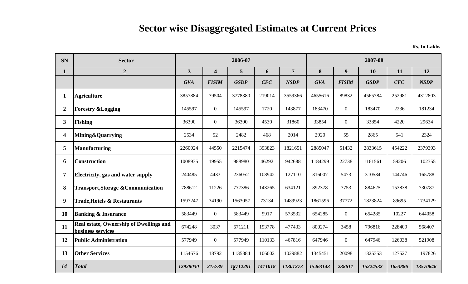| <b>SN</b>      | <b>Sector</b>                                                       |                         |                         | 2006-07     |         |                | 2007-08<br>8<br>9<br>12<br>10<br>11<br><b>GVA</b><br><b>GSDP</b><br><b>FISIM</b><br>CFC<br>4655616<br>89832<br>4565784<br>252981<br>183470<br>$\overline{0}$<br>183470<br>2236<br>33854<br>$\overline{0}$<br>33854<br>4220<br>2920<br>55<br>2865<br>2324<br>541 |                |          |         |             |
|----------------|---------------------------------------------------------------------|-------------------------|-------------------------|-------------|---------|----------------|-----------------------------------------------------------------------------------------------------------------------------------------------------------------------------------------------------------------------------------------------------------------|----------------|----------|---------|-------------|
| $\mathbf{1}$   | $\overline{2}$                                                      | $\overline{\mathbf{3}}$ | $\overline{\mathbf{4}}$ | 5           | 6       | $\overline{7}$ |                                                                                                                                                                                                                                                                 |                |          |         |             |
|                |                                                                     | <b>GVA</b>              | <b>FISIM</b>            | <b>GSDP</b> | CFC     | <b>NSDP</b>    |                                                                                                                                                                                                                                                                 |                |          |         | <b>NSDP</b> |
| $\mathbf{1}$   | <b>Agriculture</b>                                                  | 3857884                 | 79504                   | 3778380     | 219014  | 3559366        |                                                                                                                                                                                                                                                                 |                |          |         | 4312803     |
| $\overline{2}$ | <b>Forestry &amp;Logging</b>                                        | 145597                  | $\overline{0}$          | 145597      | 1720    | 143877         |                                                                                                                                                                                                                                                                 |                |          |         | 181234      |
| $\mathbf{3}$   | Fishing                                                             | 36390                   | $\overline{0}$          | 36390       | 4530    | 31860          |                                                                                                                                                                                                                                                                 |                |          |         | 29634       |
| 4              | <b>Mining&amp;Quarrying</b>                                         | 2534                    | 52                      | 2482        | 468     | 2014           |                                                                                                                                                                                                                                                                 |                |          |         |             |
| 5              | <b>Manufacturing</b>                                                | 2260024                 | 44550                   | 2215474     | 393823  | 1821651        | 2885047                                                                                                                                                                                                                                                         | 51432          | 2833615  | 454222  | 2379393     |
| 6              | Construction                                                        | 1008935                 | 19955                   | 988980      | 46292   | 942688         | 1184299                                                                                                                                                                                                                                                         | 22738          | 1161561  | 59206   | 1102355     |
| 7              | Electricity, gas and water supply                                   | 240485                  | 4433                    | 236052      | 108942  | 127110         | 316007                                                                                                                                                                                                                                                          | 5473           | 310534   | 144746  | 165788      |
| 8              | <b>Transport, Storage &amp; Communication</b>                       | 788612                  | 11226                   | 777386      | 143265  | 634121         | 892378                                                                                                                                                                                                                                                          | 7753           | 884625   | 153838  | 730787      |
| 9              | <b>Trade, Hotels &amp; Restaurants</b>                              | 1597247                 | 34190                   | 1563057     | 73134   | 1489923        | 1861596                                                                                                                                                                                                                                                         | 37772          | 1823824  | 89695   | 1734129     |
| <b>10</b>      | <b>Banking &amp; Insurance</b>                                      | 583449                  | $\overline{0}$          | 583449      | 9917    | 573532         | 654285                                                                                                                                                                                                                                                          | $\overline{0}$ | 654285   | 10227   | 644058      |
| 11             | <b>Real estate, Ownership of Dwellings and</b><br>business services | 674248                  | 3037                    | 671211      | 193778  | 477433         | 800274                                                                                                                                                                                                                                                          | 3458           | 796816   | 228409  | 568407      |
| 12             | <b>Public Administration</b>                                        | 577949                  | $\overline{0}$          | 577949      | 110133  | 467816         | 647946                                                                                                                                                                                                                                                          | $\overline{0}$ | 647946   | 126038  | 521908      |
| 13             | <b>Other Services</b>                                               | 1154676                 | 18792                   | 1135884     | 106002  | 1029882        | 1345451                                                                                                                                                                                                                                                         | 20098          | 1325353  | 127527  | 1197826     |
| 14             | <b>Total</b>                                                        | 12928030                | 215739                  | 12712291    | 1411018 | 11301273       | 15463143                                                                                                                                                                                                                                                        | 238611         | 15224532 | 1653886 | 13570646    |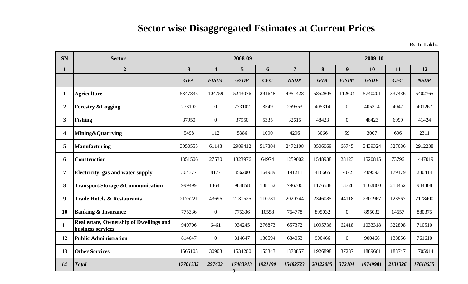| <b>SN</b>               | <b>Sector</b>                                                |                         |                         | 2008-09     |         |                |            |                  | 2009-10     |         |             |
|-------------------------|--------------------------------------------------------------|-------------------------|-------------------------|-------------|---------|----------------|------------|------------------|-------------|---------|-------------|
| $\mathbf{1}$            | $\overline{2}$                                               | $\overline{\mathbf{3}}$ | $\overline{\mathbf{4}}$ | 5           | 6       | $\overline{7}$ | 8          | $\boldsymbol{9}$ | 10          | 11      | 12          |
|                         |                                                              | <b>GVA</b>              | <b>FISIM</b>            | <b>GSDP</b> | CFC     | <b>NSDP</b>    | <b>GVA</b> | <b>FISIM</b>     | <b>GSDP</b> | CFC     | <b>NSDP</b> |
| $\mathbf{1}$            | <b>Agriculture</b>                                           | 5347835                 | 104759                  | 5243076     | 291648  | 4951428        | 5852805    | 112604           | 5740201     | 337436  | 5402765     |
| $\overline{2}$          | <b>Forestry &amp;Logging</b>                                 | 273102                  | $\overline{0}$          | 273102      | 3549    | 269553         | 405314     | $\overline{0}$   | 405314      | 4047    | 401267      |
| $\mathbf{3}$            | <b>Fishing</b>                                               | 37950                   | $\overline{0}$          | 37950       | 5335    | 32615          | 48423      | $\overline{0}$   | 48423       | 6999    | 41424       |
| $\overline{\mathbf{4}}$ | <b>Mining&amp;Quarrying</b>                                  | 5498                    | 112                     | 5386        | 1090    | 4296           | 3066       | 59               | 3007        | 696     | 2311        |
| 5                       | <b>Manufacturing</b>                                         | 3050555                 | 61143                   | 2989412     | 517304  | 2472108        | 3506069    | 66745            | 3439324     | 527086  | 2912238     |
| 6                       | <b>Construction</b>                                          | 1351506                 | 27530                   | 1323976     | 64974   | 1259002        | 1548938    | 28123            | 1520815     | 73796   | 1447019     |
| 7                       | Electricity, gas and water supply                            | 364377                  | 8177                    | 356200      | 164989  | 191211         | 416665     | 7072             | 409593      | 179179  | 230414      |
| 8                       | <b>Transport, Storage &amp; Communication</b>                | 999499                  | 14641                   | 984858      | 188152  | 796706         | 1176588    | 13728            | 1162860     | 218452  | 944408      |
| 9                       | <b>Trade, Hotels &amp; Restaurants</b>                       | 2175221                 | 43696                   | 2131525     | 110781  | 2020744        | 2346085    | 44118            | 2301967     | 123567  | 2178400     |
| 10                      | <b>Banking &amp; Insurance</b>                               | 775336                  | $\overline{0}$          | 775336      | 10558   | 764778         | 895032     | $\overline{0}$   | 895032      | 14657   | 880375      |
| 11                      | Real estate, Ownership of Dwellings and<br>business services | 940706                  | 6461                    | 934245      | 276873  | 657372         | 1095736    | 62418            | 1033318     | 322808  | 710510      |
| 12                      | <b>Public Administration</b>                                 | 814647                  | $\overline{0}$          | 814647      | 130594  | 684053         | 900466     | $\overline{0}$   | 900466      | 138856  | 761610      |
| 13                      | <b>Other Services</b>                                        | 1565103                 | 30903                   | 1534200     | 155343  | 1378857        | 1926898    | 37237            | 1889661     | 183747  | 1705914     |
| 14                      | <b>Total</b>                                                 | 17701335                | 297422                  | 17403913    | 1921190 | 15482723       | 20122085   | 372104           | 19749981    | 2131326 | 17618655    |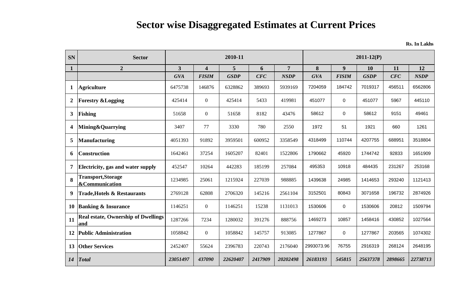| <b>SN</b>               | <b>Sector</b>                                          |                         |                         | 2010-11     |         |                 |            |              | $2011 - 12(P)$ |         |             |
|-------------------------|--------------------------------------------------------|-------------------------|-------------------------|-------------|---------|-----------------|------------|--------------|----------------|---------|-------------|
|                         | $\boldsymbol{2}$                                       | $\overline{\mathbf{3}}$ | $\overline{\mathbf{4}}$ | 5           | 6       | $7\overline{ }$ | 8          | 9            | <b>10</b>      | 11      | 12          |
|                         |                                                        | <b>GVA</b>              | <b>FISIM</b>            | <b>GSDP</b> | CFC     | <b>NSDP</b>     | <b>GVA</b> | <b>FISIM</b> | <b>GSDP</b>    | CFC     | <b>NSDP</b> |
| $\mathbf{1}$            | <b>Agriculture</b>                                     | 6475738                 | 146876                  | 6328862     | 389693  | 5939169         | 7204059    | 184742       | 7019317        | 456511  | 6562806     |
| $\boldsymbol{2}$        | <b>Forestry &amp; Logging</b>                          | 425414                  | $\mathbf{0}$            | 425414      | 5433    | 419981          | 451077     | $\mathbf 0$  | 451077         | 5967    | 445110      |
| 3                       | <b>Fishing</b>                                         | 51658                   | $\boldsymbol{0}$        | 51658       | 8182    | 43476           | 58612      | 0            | 58612          | 9151    | 49461       |
| $\overline{\mathbf{4}}$ | <b>Mining&amp;Quarrying</b>                            | 3407                    | 77                      | 3330        | 780     | 2550            | 1972       | 51           | 1921           | 660     | 1261        |
| 5                       | <b>Manufacturing</b>                                   | 4051393                 | 91892                   | 3959501     | 600952  | 3358549         | 4318499    | 110744       | 4207755        | 688951  | 3518804     |
| 6                       | <b>Construction</b>                                    | 1642461                 | 37254                   | 1605207     | 82401   | 1522806         | 1790662    | 45920        | 1744742        | 92833   | 1651909     |
| $\overline{7}$          | Electricity, gas and water supply                      | 452547                  | 10264                   | 442283      | 185199  | 257084          | 495353     | 10918        | 484435         | 231267  | 253168      |
| 8                       | <b>Transport, Storage</b><br><b>&amp;Communication</b> | 1234985                 | 25061                   | 1215924     | 227039  | 988885          | 1439638    | 24985        | 1414653        | 293240  | 1121413     |
| 9                       | <b>Trade, Hotels &amp; Restaurants</b>                 | 2769128                 | 62808                   | 2706320     | 145216  | 2561104         | 3152501    | 80843        | 3071658        | 196732  | 2874926     |
| 10                      | <b>Banking &amp; Insurance</b>                         | 1146251                 | $\boldsymbol{0}$        | 1146251     | 15238   | 1131013         | 1530606    | $\mathbf 0$  | 1530606        | 20812   | 1509794     |
| 11                      | <b>Real estate, Ownership of Dwellings</b><br>and      | 1287266                 | 7234                    | 1280032     | 391276  | 888756          | 1469273    | 10857        | 1458416        | 430852  | 1027564     |
| 12                      | <b>Public Administration</b>                           | 1058842                 | $\overline{0}$          | 1058842     | 145757  | 913085          | 1277867    | 0            | 1277867        | 203565  | 1074302     |
| 13                      | <b>Other Services</b>                                  | 2452407                 | 55624                   | 2396783     | 220743  | 2176040         | 2993073.96 | 76755        | 2916319        | 268124  | 2648195     |
| 14                      | <b>Total</b>                                           | 23051497                | 437090                  | 22620407    | 2417909 | 20202498        | 26183193   | 545815       | 25637378       | 2898665 | 22738713    |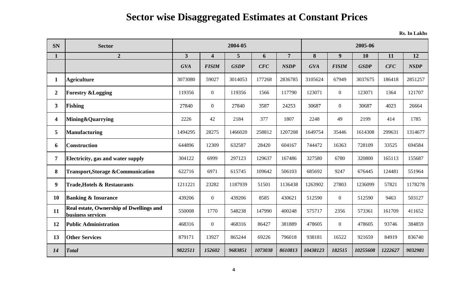| <b>SN</b>      | <b>Sector</b>                                                       |                |                         | 2004-05     |         |                | 2005-06    |                  |             |         |             |
|----------------|---------------------------------------------------------------------|----------------|-------------------------|-------------|---------|----------------|------------|------------------|-------------|---------|-------------|
| $\mathbf{1}$   | $\overline{2}$                                                      | $\overline{3}$ | $\overline{\mathbf{4}}$ | 5           | 6       | $\overline{7}$ | 8          | 9                | <b>10</b>   | 11      | 12          |
|                |                                                                     | <b>GVA</b>     | <b>FISIM</b>            | <b>GSDP</b> | CFC     | <b>NSDP</b>    | <b>GVA</b> | <b>FISIM</b>     | <b>GSDP</b> | CFC     | <b>NSDP</b> |
| $\mathbf{1}$   | <b>Agriculture</b>                                                  | 3073080        | 59027                   | 3014053     | 177268  | 2836785        | 3105624    | 67949            | 3037675     | 186418  | 2851257     |
| $\overline{2}$ | <b>Forestry &amp; Logging</b>                                       | 119356         | $\mathbf{0}$            | 119356      | 1566    | 117790         | 123071     | $\boldsymbol{0}$ | 123071      | 1364    | 121707      |
| 3 <sup>1</sup> | Fishing                                                             | 27840          | $\mathbf{0}$            | 27840       | 3587    | 24253          | 30687      | $\mathbf{0}$     | 30687       | 4023    | 26664       |
| 4              | Mining&Quarrying                                                    | 2226           | 42                      | 2184        | 377     | 1807           | 2248       | 49               | 2199        | 414     | 1785        |
| 5              | Manufacturing                                                       | 1494295        | 28275                   | 1466020     | 258812  | 1207208        | 1649754    | 35446            | 1614308     | 299631  | 1314677     |
| 6              | <b>Construction</b>                                                 | 644896         | 12309                   | 632587      | 28420   | 604167         | 744472     | 16363            | 728109      | 33525   | 694584      |
| $\overline{7}$ | Electricity, gas and water supply                                   | 304122         | 6999                    | 297123      | 129637  | 167486         | 327580     | 6780             | 320800      | 165113  | 155687      |
| 8              | <b>Transport, Storage &amp; Communication</b>                       | 622716         | 6971                    | 615745      | 109642  | 506103         | 685692     | 9247             | 676445      | 124481  | 551964      |
| 9              | <b>Trade, Hotels &amp; Restaurants</b>                              | 1211221        | 23282                   | 1187939     | 51501   | 1136438        | 1263902    | 27803            | 1236099     | 57821   | 1178278     |
| 10             | <b>Banking &amp; Insurance</b>                                      | 439206         | $\boldsymbol{0}$        | 439206      | 8585    | 430621         | 512590     | $\mathbf{0}$     | 512590      | 9463    | 503127      |
| 11             | <b>Real estate, Ownership of Dwellings and</b><br>business services | 550008         | 1770                    | 548238      | 147990  | 400248         | 575717     | 2356             | 573361      | 161709  | 411652      |
| 12             | <b>Public Administration</b>                                        | 468316         | $\mathbf{0}$            | 468316      | 86427   | 381889         | 478605     | $\mathbf{0}$     | 478605      | 93746   | 384859      |
| 13             | <b>Other Services</b>                                               | 879171         | 13927                   | 865244      | 69226   | 796018         | 938181     | 16522            | 921659      | 84919   | 836740      |
| 14             | Total                                                               | 9822511        | 152602                  | 9683851     | 1073038 | 8610813        | 10438123   | 182515           | 10255608    | 1222627 | 9032981     |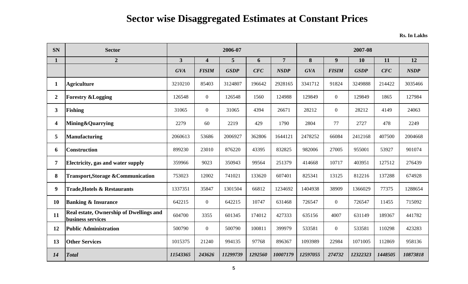| <b>SN</b>      | <b>Sector</b>                                                       |                         |                         | 2006-07     |         |                |            |                | 2007-08     |         |             |
|----------------|---------------------------------------------------------------------|-------------------------|-------------------------|-------------|---------|----------------|------------|----------------|-------------|---------|-------------|
| $\mathbf{1}$   | $\overline{2}$                                                      | $\overline{\mathbf{3}}$ | $\overline{\mathbf{4}}$ | 5           | 6       | $\overline{7}$ | 8          | 9              | <b>10</b>   | 11      | 12          |
|                |                                                                     | <b>GVA</b>              | <b>FISIM</b>            | <b>GSDP</b> | CFC     | <b>NSDP</b>    | <b>GVA</b> | <b>FISIM</b>   | <b>GSDP</b> | CFC     | <b>NSDP</b> |
| 1              | <b>Agriculture</b>                                                  | 3210210                 | 85403                   | 3124807     | 196642  | 2928165        | 3341712    | 91824          | 3249888     | 214422  | 3035466     |
| $\overline{2}$ | <b>Forestry &amp; Logging</b>                                       | 126548                  | $\boldsymbol{0}$        | 126548      | 1560    | 124988         | 129849     | $\overline{0}$ | 129849      | 1865    | 127984      |
| 3 <sup>1</sup> | Fishing                                                             | 31065                   | $\mathbf{0}$            | 31065       | 4394    | 26671          | 28212      | $\overline{0}$ | 28212       | 4149    | 24063       |
| 4              | Mining&Quarrying                                                    | 2279                    | 60                      | 2219        | 429     | 1790           | 2804       | 77             | 2727        | 478     | 2249        |
| 5              | <b>Manufacturing</b>                                                | 2060613                 | 53686                   | 2006927     | 362806  | 1644121        | 2478252    | 66084          | 2412168     | 407500  | 2004668     |
| 6              | <b>Construction</b>                                                 | 899230                  | 23010                   | 876220      | 43395   | 832825         | 982006     | 27005          | 955001      | 53927   | 901074      |
| $\overline{7}$ | Electricity, gas and water supply                                   | 359966                  | 9023                    | 350943      | 99564   | 251379         | 414668     | 10717          | 403951      | 127512  | 276439      |
| 8              | <b>Transport, Storage &amp; Communication</b>                       | 753023                  | 12002                   | 741021      | 133620  | 607401         | 825341     | 13125          | 812216      | 137288  | 674928      |
| 9 <sup>°</sup> | <b>Trade, Hotels &amp; Restaurants</b>                              | 1337351                 | 35847                   | 1301504     | 66812   | 1234692        | 1404938    | 38909          | 1366029     | 77375   | 1288654     |
| <b>10</b>      | <b>Banking &amp; Insurance</b>                                      | 642215                  | $\overline{0}$          | 642215      | 10747   | 631468         | 726547     | $\overline{0}$ | 726547      | 11455   | 715092      |
| 11             | <b>Real estate, Ownership of Dwellings and</b><br>business services | 604700                  | 3355                    | 601345      | 174012  | 427333         | 635156     | 4007           | 631149      | 189367  | 441782      |
| 12             | <b>Public Administration</b>                                        | 500790                  | $\overline{0}$          | 500790      | 100811  | 399979         | 533581     | $\overline{0}$ | 533581      | 110298  | 423283      |
| 13             | <b>Other Services</b>                                               | 1015375                 | 21240                   | 994135      | 97768   | 896367         | 1093989    | 22984          | 1071005     | 112869  | 958136      |
| 14             | <b>Total</b>                                                        | 11543365                | 243626                  | 11299739    | 1292560 | 10007179       | 12597055   | 274732         | 12322323    | 1448505 | 10873818    |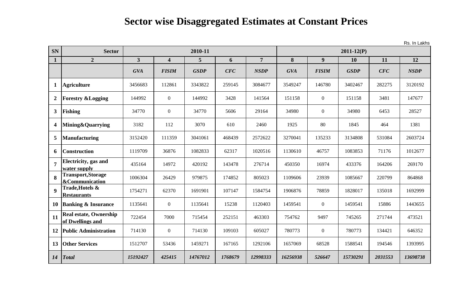**SN** Sector **1 2 3 4 5 6 7 8 9 10 11 12** *GVA FISIM GSDP CFC NSDP GVA FISIM GSDP CFC NSDP* **1 Agriculture** 3456683 112861 3343822 259145 3084677 3549247 146780 3402467 282275 3120192 **2 Forestry &Logging** 144992 0 144992 3428 141564 151158 0 151158 3481 3481 147677 **3 Fishing** 34770 0 34770 5606 29164 34980 0 34980 6453 28527 **4 Mining&Quarrying** 1 3182 112 3070 610 2460 1925 80 1845 464 1381 **5 Manufacturing** 13152420 111359 3041061 468439 3572622 3270041 135233 3134808 531084 2603724 **6 Construction** 1119709 36876 1082833 62317 1020516 1130610 46757 1083853 71176 1012677 **7 Electricity, gas and water supply** 435164 | 14972 | 420192 | 143478 | 276714 | 450350 | 16974 | 433376 | 164206 | 269170 **8 Transport,Storage &Communication** 1006304 26429 979875 174852 805023 1109606 23939 1085667 220799 864868 **9 Trade,Hotels & Restaurants** 1754271 62370 1691901 107147 1584754 1906876 78859 1828017 135018 1692999 **10 Banking & Insurance** 1 1135641 1 0 1135641 15238 1120403 1459541 0 1459541 15886 1443655 **<sup>11</sup> Real estate, Ownership of Dwellings and** 722454 7000 715454 252151 463303 754762 9497 745265 271744 473521 **12 Public Administration** | 714130 | 0 | 714130 | 109103 | 605027 | 780773 | 0 | 780773 | 134421 | 646352 **13 Other Services** 1512707 1 53436 1459271 167165 1292106 1657069 168528 1588541 194546 1393995 *14 Total 15192427 425415 14767012 1768679 12998333 16256938 526647 15730291 2031553 13698738* **2010-11 2011-12(P)**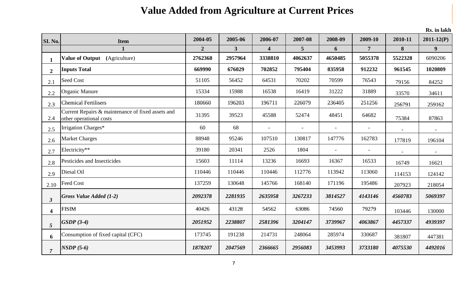# **Value Added from Agriculture at Current Prices**

| SI. No.                 | <b>Item</b>                                                                  | 2004-05        | 2005-06        | 2006-07                 | 2007-08 | 2008-09 | 2009-10        | 2010-11 | $2011 - 12(P)$ |
|-------------------------|------------------------------------------------------------------------------|----------------|----------------|-------------------------|---------|---------|----------------|---------|----------------|
|                         |                                                                              | $\overline{2}$ | 3 <sup>1</sup> | $\overline{\mathbf{4}}$ | 5       | 6       | $\overline{7}$ | 8       | 9              |
| $\mathbf{1}$            | <b>Value of Output</b><br>(Agriculture)                                      | 2762368        | 2957964        | 3338810                 | 4062637 | 4650485 | 5055378        | 5522328 | 6090206        |
| $\overline{2}$          | <b>Inputs Total</b>                                                          | 669990         | 676029         | 702852                  | 795404  | 835958  | 912232         | 961545  | 1020809        |
| 2.1                     | <b>Seed Cost</b>                                                             | 51105          | 56452          | 64531                   | 70202   | 70599   | 76543          | 79156   | 84252          |
| 2.2                     | <b>Organic Manure</b>                                                        | 15334          | 15988          | 16538                   | 16419   | 31222   | 31889          | 33570   | 34611          |
| 2.3                     | <b>Chemical Fertilisers</b>                                                  | 180660         | 196203         | 196711                  | 226079  | 236405  | 251256         | 256791  | 259162         |
| 2.4                     | Current Repairs & maintenance of fixed assets and<br>other operational costs | 31395          | 39523          | 45588                   | 52474   | 48451   | 64682          | 75384   | 87863          |
| 2.5                     | Irrigation Charges*                                                          | 60             | 68             |                         |         |         |                |         |                |
| 2.6                     | <b>Market Charges</b>                                                        | 88948          | 95246          | 107510                  | 130817  | 147776  | 162783         | 177819  | 196104         |
| 2.7                     | Electricity**                                                                | 39180          | 20341          | 2526                    | 1804    |         |                |         |                |
| 2.8                     | Pesticides and Insecticides                                                  | 15603          | 11114          | 13236                   | 16693   | 16367   | 16533          | 16749   | 16621          |
| 2.9                     | Diesal Oil                                                                   | 110446         | 110446         | 110446                  | 112776  | 113942  | 113060         | 114153  | 124142         |
| 2.10                    | <b>Feed Cost</b>                                                             | 137259         | 130648         | 145766                  | 168140  | 171196  | 195486         | 207923  | 218054         |
| 3 <sup>1</sup>          | Gross Value Added (1-2)                                                      | 2092378        | 2281935        | 2635958                 | 3267233 | 3814527 | 4143146        | 4560783 | 5069397        |
| $\overline{\mathbf{4}}$ | <b>FISIM</b>                                                                 | 40426          | 43128          | 54562                   | 63086   | 74560   | 79279          | 103446  | 130000         |
| 5 <sup>5</sup>          | $GSDP(3-4)$                                                                  | 2051952        | 2238807        | 2581396                 | 3204147 | 3739967 | 4063867        | 4457337 | 4939397        |
| 6                       | Consumption of fixed capital (CFC)                                           | 173745         | 191238         | 214731                  | 248064  | 285974  | 330687         | 381807  | 447381         |
| $\overline{7}$          | $NSDP(5-6)$                                                                  | 1878207        | 2047569        | 2366665                 | 2956083 | 3453993 | 3733180        | 4075530 | 4492016        |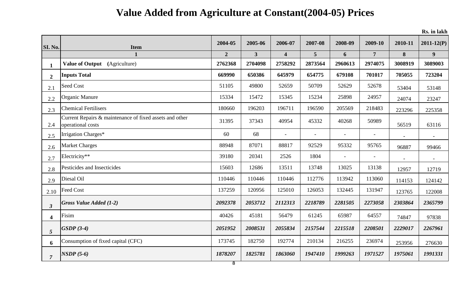# **Value Added from Agriculture at Constant(2004-05) Prices**

| SI. No.                 | <b>Item</b>                                                                  | 2004-05        | 2005-06        | 2006-07                 | 2007-08        | 2008-09                  | 2009-10                  | 2010-11 | $2011 - 12(P)$ |
|-------------------------|------------------------------------------------------------------------------|----------------|----------------|-------------------------|----------------|--------------------------|--------------------------|---------|----------------|
|                         | $\mathbf{1}$                                                                 | $\overline{2}$ | 3 <sup>1</sup> | $\overline{\mathbf{4}}$ | 5              | 6                        | $\overline{7}$           | 8       | 9              |
| $\mathbf{1}$            | Value of Output (Agriculture)                                                | 2762368        | 2704098        | 2758292                 | 2873564        | 2960613                  | 2974075                  | 3008919 | 3089003        |
| $\overline{2}$          | <b>Inputs Total</b>                                                          | 669990         | 650386         | 645979                  | 654775         | 679108                   | 701017                   | 705055  | 723204         |
| 2.1                     | Seed Cost                                                                    | 51105          | 49800          | 52659                   | 50709          | 52629                    | 52678                    | 53404   | 53148          |
| 2.2                     | Organic Manure                                                               | 15334          | 15472          | 15345                   | 15234          | 25898                    | 24957                    | 24074   | 23247          |
| 2.3                     | <b>Chemical Fertilisers</b>                                                  | 180660         | 196203         | 196711                  | 196590         | 205569                   | 218483                   | 223296  | 225358         |
| 2.4                     | Current Repairs & maintenance of fixed assets and other<br>operational costs | 31395          | 37343          | 40954                   | 45332          | 40268                    | 50989                    | 56519   | 63116          |
| 2.5                     | Irrigation Charges*                                                          | 60             | 68             | $\blacksquare$          | $\blacksquare$ | $\overline{\phantom{a}}$ | $\overline{\phantom{a}}$ |         |                |
| 2.6                     | <b>Market Charges</b>                                                        | 88948          | 87071          | 88817                   | 92529          | 95332                    | 95765                    | 96887   | 99466          |
| 2.7                     | Electricity**                                                                | 39180          | 20341          | 2526                    | 1804           | $\overline{a}$           | $\overline{\phantom{a}}$ |         |                |
| 2.8                     | Pesticides and Insecticides                                                  | 15603          | 12686          | 13511                   | 13748          | 13025                    | 13138                    | 12957   | 12719          |
| 2.9                     | Diesal Oil                                                                   | 110446         | 110446         | 110446                  | 112776         | 113942                   | 113060                   | 114153  | 124142         |
| 2.10                    | <b>Feed Cost</b>                                                             | 137259         | 120956         | 125010                  | 126053         | 132445                   | 131947                   | 123765  | 122008         |
| $\mathbf{3}$            | <b>Gross Value Added (1-2)</b>                                               | 2092378        | 2053712        | 2112313                 | 2218789        | 2281505                  | 2273058                  | 2303864 | 2365799        |
| $\overline{\mathbf{4}}$ | Fisim                                                                        | 40426          | 45181          | 56479                   | 61245          | 65987                    | 64557                    | 74847   | 97838          |
| 5 <sup>5</sup>          | $GSDP(3-4)$                                                                  | 2051952        | 2008531        | 2055834                 | 2157544        | 2215518                  | 2208501                  | 2229017 | 2267961        |
| 6                       | Consumption of fixed capital (CFC)                                           | 173745         | 182750         | 192774                  | 210134         | 216255                   | 236974                   | 253956  | 276630         |
| $\overline{7}$          | $NSDP(5-6)$                                                                  | 1878207        | 1825781        | 1863060                 | 1947410        | 1999263                  | 1971527                  | 1975061 | 1991331        |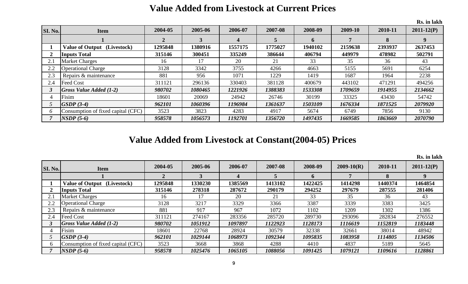|                |                                    |              |         |          |         |         |         |         | Rs. in lakh    |
|----------------|------------------------------------|--------------|---------|----------|---------|---------|---------|---------|----------------|
| SI. No.        | <b>Item</b>                        | 2004-05      | 2005-06 | 2006-07  | 2007-08 | 2008-09 | 2009-10 | 2010-11 | $2011 - 12(P)$ |
|                |                                    | $\mathbf{2}$ | 3       | $\Delta$ | 5       | 6       |         | 8       |                |
|                | <b>Value of Output</b> (Livestock) | 1295848      | 1380916 | 1557175  | 1775027 | 1940102 | 2159638 | 2393937 | 2637453        |
| $\overline{2}$ | <b>Inputs Total</b>                | 315146       | 300451  | 335249   | 386644  | 406794  | 449979  | 478982  | 502791         |
| 2.1            | <b>Market Charges</b>              | 16           | 17      | 20       | 21      | 33      | 35      | 36      | 43             |
| 2.2            | <b>Operational Charge</b>          | 3128         | 3342    | 3755     | 4266    | 4663    | 5155    | 5691    | 6254           |
| 2.3            | Repairs & maintenance              | 881          | 956     | 1071     | 1229    | 1419    | 1687    | 1964    | 2238           |
| 2.4            | <b>Feed Cost</b>                   | 311121       | 296136  | 330403   | 381128  | 400679  | 443102  | 471291  | 494256         |
|                | $Gross Value added (1-2)$          | 980702       | 1080465 | 1221926  | 1388383 | 1533308 | 1709659 | 1914955 | 2134662        |
| 4              | Fisim                              | 18601        | 20069   | 24942    | 26746   | 30199   | 33325   | 43430   | 54742          |
|                | $GSDP(3-4)$                        | 962101       | 1060396 | 1196984  | 1361637 | 1503109 | 1676334 | 1871525 | 2079920        |
| 6              | Consumption of fixed capital (CFC) | 3523         | 3823    | 4283     | 4917    | 5674    | 6749    | 7856    | 9130           |
|                | $NSDP(5-6)$                        | 958578       | 1056573 | 1192701  | 1356720 | 1497435 | 1669585 | 1863669 | 2070790        |

#### **Value Added from Livestock at Current Prices**

### **Value Added from Livestock at Constant(2004-05) Prices**

| <b>SI. No.</b> | <b>Item</b>                        | 2004-05 | 2005-06 | 2006-07 | 2007-08 | 2008-09     | $2009 - 10(R)$ | 2010-11 | $2011 - 12(P)$ |
|----------------|------------------------------------|---------|---------|---------|---------|-------------|----------------|---------|----------------|
|                |                                    |         |         |         |         | $\mathbf b$ |                | 8       |                |
|                | <b>Value of Output</b> (Livestock) | 1295848 | 1330230 | 1385569 | 1413102 | 1422425     | 1414298        | 1440374 | 1464854        |
|                | <b>Inputs Total</b>                | 315146  | 278318  | 287672  | 290179  | 294252      | 297679         | 287555  | 281406         |
| 2.1            | <b>Market Charges</b>              | 16      |         | 20      | 21      | 33          | 35             | 36      | 43             |
| 2.2            | <b>Operational Charge</b>          | 3128    | 3217    | 3329    | 3366    | 3387        | 3339           | 3383    | 3425           |
| 2.3            | Repairs & maintenance              | 881     | 917     | 967     | 1072    | 1102        | 1209           | 1302    | 1386           |
| 2.4            | Feed Cost                          | 311121  | 274167  | 283356  | 285720  | 289730      | 293096         | 282834  | 276552         |
|                | $Gross Value added (1-2)$          | 980702  | 1051912 | 1097897 | 1122923 | 1128173     | 1116619        | 1152819 | 1183448        |
|                | Fisim                              | 18601   | 22768   | 28924   | 30579   | 32338       | 32661          | 38014   | 48942          |
|                | $GSDP(3-4)$                        | 962101  | 1029144 | 1068973 | 1092344 | 1095835     | 1083958        | 1114805 | 1134506        |
|                | Consumption of fixed capital (CFC) | 3523    | 3668    | 3868    | 4288    | 4410        | 4837           | 5189    | 5645           |
|                | $NSDP(5-6)$                        | 958578  | 1025476 | 1065105 | 1088056 | 1091425     | 1079121        | 1109616 | 1128861        |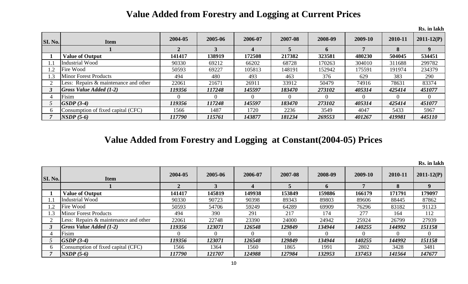### **Value Added from Forestry and Logging at Current Prices**

|                |                                       |         |         |         |         |         |         |          | Rs. in lakh    |
|----------------|---------------------------------------|---------|---------|---------|---------|---------|---------|----------|----------------|
| <b>SI. No.</b> | <b>Item</b>                           | 2004-05 | 2005-06 | 2006-07 | 2007-08 | 2008-09 | 2009-10 | 2010-11  | $2011 - 12(P)$ |
|                |                                       |         |         |         |         |         |         | 8        | 9              |
|                | <b>Value of Output</b>                | 141417  | 138919  | 172508  | 217382  | 323581  | 480230  | 504045   | 534451         |
| 1.1            | Industrial Wood                       | 90330   | 69212   | 66202   | 68728   | 170263  | 304010  | 311688   | 299782         |
| 1.2            | Fire Wood                             | 50593   | 69227   | 105813  | 148191  | 152942  | 175591  | 191974   | 234379         |
| 1.3            | <b>Minor Forest Products</b>          | 494     | 480     | 493     | 463     | 376     | 629     | 383      | 290            |
|                | Less: Repairs & maintenance and other | 22061   | 21671   | 26911   | 33912   | 50479   | 74916   | 78631    | 83374          |
|                | $Gross Value added (1-2)$             | 119356  | 117248  | 145597  | 183470  | 273102  | 405314  | 425414   | 451077         |
|                | Fisim                                 |         |         |         | 0       |         |         | $\theta$ | $\overline{0}$ |
|                | $GSDP(3-4)$                           | 119356  | 117248  | 145597  | 183470  | 273102  | 405314  | 425414   | 451077         |
| 6              | Consumption of fixed capital (CFC)    | 1566    | 1487    | 1720    | 2236    | 3549    | 4047    | 5433     | 5967           |
|                | $NSDP(5-6)$                           | 117790  | 115761  | 143877  | 181234  | 269553  | 401267  | 419981   | 445110         |

### **Value Added from Forestry and Logging at Constant(2004-05) Prices**

| <b>SI. No.</b> | <b>Item</b>                           | 2004-05 | 2005-06  | 2006-07 | 2007-08 | 2008-09 | 2009-10 | 2010-11 | $2011 - 12(P)$ |
|----------------|---------------------------------------|---------|----------|---------|---------|---------|---------|---------|----------------|
|                |                                       |         |          |         |         |         |         | 8       | 9              |
|                | <b>Value of Output</b>                | 141417  | 145819   | 149938  | 153849  | 159886  | 166179  | 171791  | 179097         |
| $\mathsf{l}.1$ | Industrial Wood                       | 90330   | 90723    | 90398   | 89343   | 89803   | 89606   | 88445   | 87862          |
| $\cdot$ .2     | Fire Wood                             | 50593   | 54706    | 59249   | 64289   | 69909   | 76296   | 83182   | 91123          |
| $\cdot$ 3      | <b>Minor Forest Products</b>          | 494     | 390      | 291     | 217     | 174     | 277     | 164     | 112            |
|                | Less: Repairs & maintenance and other | 22061   | 22748    | 23390   | 24000   | 24942   | 25924   | 26799   | 27939          |
|                | $Gross Value added (1-2)$             | 119356  | 123071   | 126548  | 129849  | 134944  | 140255  | 144992  | 151158         |
|                | Fisim                                 |         | $\Omega$ |         |         |         |         |         | $\overline{0}$ |
|                | $GSDP(3-4)$                           | 119356  | 123071   | 126548  | 129849  | 134944  | 140255  | 144992  | 151158         |
| 6              | Consumption of fixed capital (CFC)    | 1566    | 1364     | 1560    | 1865    | 1991    | 2802    | 3428    | 3481           |
|                | $NSDP(5-6)$                           | 117790  | 121707   | 124988  | 127984  | 132953  | 137453  | 141564  | 147677         |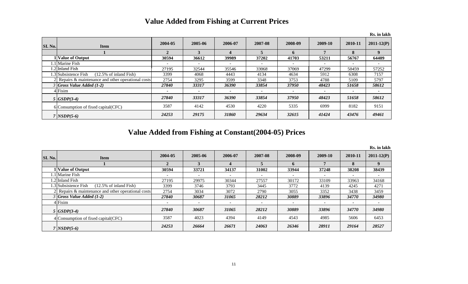#### **Value Added from Fishing at Current Prices**

|         |                                                           |                          |                          |                          |                          |                          |                          |                          | Rs. in lakh    |
|---------|-----------------------------------------------------------|--------------------------|--------------------------|--------------------------|--------------------------|--------------------------|--------------------------|--------------------------|----------------|
| SI. No. | <b>Item</b>                                               | 2004-05                  | 2005-06                  | 2006-07                  | 2007-08                  | 2008-09                  | 2009-10                  | 2010-11                  | $2011 - 12(P)$ |
|         |                                                           |                          |                          |                          |                          | h.                       |                          | 8                        |                |
|         | Value of Output                                           | 30594                    | 36612                    | 39989                    | 37202                    | 41703                    | 53211                    | 56767                    | 64409          |
|         | .1 Marine Fish                                            |                          | $\overline{\phantom{0}}$ | $\overline{\phantom{a}}$ |                          | $\overline{\phantom{0}}$ | $\overline{\phantom{a}}$ | $\overline{\phantom{a}}$ |                |
|         | .2 Inland Fish                                            | 27195                    | 32544                    | 35546                    | 33068                    | 37069                    | 47299                    | 50459                    | 57252          |
|         | 1.3 Subsistence Fish<br>$(12.5\% \text{ of inland Fish})$ | 3399                     | 4068                     | 4443                     | 4134                     | 4634                     | 5912                     | 6308                     | 7157           |
|         | 2 Repairs & maintenance and other operational costs       | 2754                     | 3295                     | 3599                     | 3348                     | 3753                     | 4788                     | 5109                     | 5797           |
|         | $3$ Gross Value Added (1-2)                               | 27840                    | 33317                    | 36390                    | 33854                    | 37950                    | 48423                    | 51658                    | 58612          |
|         | $4$ Fisim                                                 | $\overline{\phantom{a}}$ |                          | $\overline{\phantom{a}}$ | $\overline{\phantom{0}}$ |                          | $\blacksquare$           | $\overline{\phantom{a}}$ |                |
|         | $5  GSDP(3-4) $                                           | 27840                    | 33317                    | 36390                    | 33854                    | 37950                    | 48423                    | 51658                    | 58612          |
|         | 6 Consumption of fixed capital (CFC)                      | 3587                     | 4142                     | 4530                     | 4220                     | 5335                     | 6999                     | 8182                     | 9151           |
|         | $7$ $NSDP(5-6)$                                           | 24253                    | 29175                    | 31860                    | 29634                    | 32615                    | 41424                    | 43476                    | 49461          |

**Value Added from Fishing at Constant(2004-05) Prices**

|         |                                                           |         |         |         |         |         |         |         | RS. In lakn    |
|---------|-----------------------------------------------------------|---------|---------|---------|---------|---------|---------|---------|----------------|
| SI. No. | <b>Item</b>                                               | 2004-05 | 2005-06 | 2006-07 | 2007-08 | 2008-09 | 2009-10 | 2010-11 | $2011 - 12(P)$ |
|         |                                                           |         |         |         |         | 6       |         | 8       | 9              |
|         | <b>Value of Output</b>                                    | 30594   | 33721   | 34137   | 31002   | 33944   | 37248   | 38208   | 38439          |
|         | 1.1 Marine Fish                                           |         |         |         |         |         |         |         |                |
|         | 1.2 Inland Fish                                           | 27195   | 29975   | 30344   | 27557   | 30172   | 33109   | 33963   | 34168          |
|         | 1.3 Subsistence Fish<br>$(12.5\% \text{ of inland Fish})$ | 3399    | 3746    | 3793    | 3445    | 3772    | 4139    | 4245    | 4271           |
|         | 2 Repairs & maintenance and other operational costs       | 2754    | 3034    | 3072    | 2790    | 3055    | 3352    | 3438    | 3459           |
|         | $3$ Gross Value Added (1-2)                               | 27840   | 30687   | 31065   | 28212   | 30889   | 33896   | 34770   | 34980          |
|         | 4 Fisim                                                   |         |         | ۰       |         |         |         | ۰       |                |
|         | $5  GSDP(3-4) $                                           | 27840   | 30687   | 31065   | 28212   | 30889   | 33896   | 34770   | 34980          |
|         | 4 Consumption of fixed capital (CFC)                      | 3587    | 4023    | 4394    | 4149    | 4543    | 4985    | 5606    | 6453           |
|         | $7$ NSDP(5-6)                                             | 24253   | 26664   | 26671   | 24063   | 26346   | 28911   | 29164   | 28527          |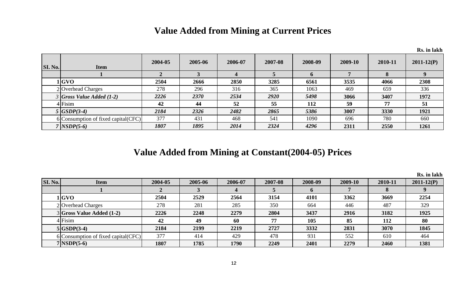### **Value Added from Mining at Current Prices**

|                |                                      |         |         |         |         |             |         |         | Rs. in lakh    |
|----------------|--------------------------------------|---------|---------|---------|---------|-------------|---------|---------|----------------|
| <b>SI. No.</b> | <b>Item</b>                          | 2004-05 | 2005-06 | 2006-07 | 2007-08 | 2008-09     | 2009-10 | 2010-11 | $2011 - 12(P)$ |
|                |                                      |         |         |         |         | $\mathbf n$ |         | 8       |                |
|                | 1 GVO                                | 2504    | 2666    | 2850    | 3285    | 6561        | 3535    | 4066    | 2308           |
|                | 2 Overhead Charges                   | 278     | 296     | 316     | 365     | 1063        | 469     | 659     | 336            |
|                | $3$ Gross Value Added (1-2)          | 2226    | 2370    | 2534    | 2920    | 5498        | 3066    | 3407    | 1972           |
|                | $4$ Fisim                            | 42      | 44      | 52      | 55      | 112         | 59      | 77      | 51             |
|                | $5  GSDP(3-4) $                      | 2184    | 2326    | 2482    | 2865    | 5386        | 3007    | 3330    | 1921           |
|                | 6 Consumption of fixed capital (CFC) | 377     | 431     | 468     | 541     | 1090        | 696     | 780     | 660            |
|                | $7$ NSDP(5-6)                        | 1807    | 1895    | 2014    | 2324    | 4296        | 2311    | 2550    | 1261           |

### **Value Added from Mining at Constant(2004-05) Prices**

|         |                                      |         |         |         |         |         |         |             | IS. III IARII  |
|---------|--------------------------------------|---------|---------|---------|---------|---------|---------|-------------|----------------|
| SI. No. | <b>Item</b>                          | 2004-05 | 2005-06 | 2006-07 | 2007-08 | 2008-09 | 2009-10 | 2010-11     | $2011 - 12(P)$ |
|         |                                      |         |         |         |         | v       |         | $\mathbf o$ |                |
|         | l GVO                                | 2504    | 2529    | 2564    | 3154    | 4101    | 3362    | 3669        | 2254           |
|         | 2 Overhead Charges                   | 278     | 281     | 285     | 350     | 664     | 446     | 487         | 329            |
|         | $3 Gross Value added (1-2) $         | 2226    | 2248    | 2279    | 2804    | 3437    | 2916    | 3182        | 1925           |
|         | $4$ Fisim                            | 42      | 49      | 60      | 77      | 105     | 85      | 112         | 80             |
|         | $5 GSDP(3-4) $                       | 2184    | 2199    | 2219    | 2727    | 3332    | 2831    | 3070        | 1845           |
|         | 6 Consumption of fixed capital (CFC) | 377     | 414     | 429     | 478     | 931     | 552     | 610         | 464            |
|         | $7 NSDP(5-6) $                       | 1807    | 1785    | 1790    | 2249    | 2401    | 2279    | 2460        | 1381           |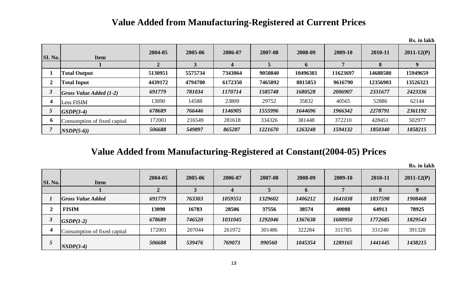#### **Value Added from Manufacturing-Registered at Current Prices**

|                |                              |         |         |         |         |          |          |          | Rs. in lakh    |
|----------------|------------------------------|---------|---------|---------|---------|----------|----------|----------|----------------|
| <b>SI. No.</b> | <b>Item</b>                  | 2004-05 | 2005-06 | 2006-07 | 2007-08 | 2008-09  | 2009-10  | 2010-11  | $2011 - 12(P)$ |
|                |                              |         |         | 4       |         | 6        |          | 8        | 9              |
|                | <b>Total Output</b>          | 5130951 | 5575734 | 7343064 | 9050840 | 10496381 | 11623697 | 14688580 | 15949659       |
| $\mathbf 2$    | <b>Total Input</b>           | 4439172 | 4794700 | 6172350 | 7465092 | 8815853  | 9616790  | 12356903 | 13526323       |
| $\mathbf{3}$   | $Gross Value added (1-2)$    | 691779  | 781034  | 1170714 | 1585748 | 1680528  | 2006907  | 2331677  | 2423336        |
| 4              | <b>Less FISIM</b>            | 13090   | 14588   | 23809   | 29752   | 35832    | 40565    | 52886    | 62144          |
|                | $GSDP(3-4)$                  | 678689  | 766446  | 1146905 | 1555996 | 1644696  | 1966342  | 2278791  | 2361192        |
| 6              | Consumption of fixed capital | 172001  | 216549  | 281618  | 334326  | 381448   | 372210   | 428451   | 502977         |
|                | $NSDP(5-6)$                  | 506688  | 549897  | 865287  | 1221670 | 1263248  | 1594132  | 1850340  | 1858215        |

#### **Value Added from Manufacturing-Registered at Constant(2004-05) Prices**

| <b>SI. No.</b> | <b>Item</b>                  | 2004-05 | 2005-06 | 2006-07 | 2007-08 | 2008-09     | 2009-10 | 2010-11 | $2011 - 12(P)$ |
|----------------|------------------------------|---------|---------|---------|---------|-------------|---------|---------|----------------|
|                |                              |         |         | 4       |         | $\mathbf 0$ |         | 8       |                |
|                | <b>Gross Value Added</b>     | 691779  | 763303  | 1059551 | 1329602 | 1406212     | 1641038 | 1837598 | 1908468        |
|                | <b>FISIM</b>                 | 13090   | 16783   | 28506   | 37556   | 38574       | 40088   | 64913   | 78925          |
|                | $GSDP(1-2)$                  | 678689  | 746520  | 1031045 | 1292046 | 1367638     | 1600950 | 1772685 | 1829543        |
|                | Consumption of fixed capital | 172001  | 207044  | 261972  | 301486  | 322284      | 311785  | 331240  | 391328         |
|                | $NSDP(3-4)$                  | 506688  | 539476  | 769073  | 990560  | 1045354     | 1289165 | 1441445 | 1438215        |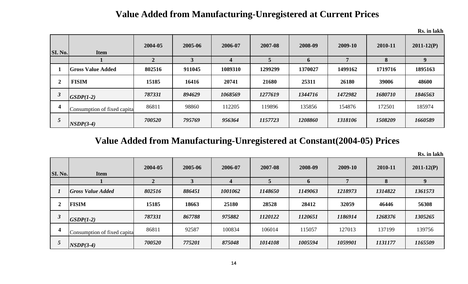### **Value Added from Manufacturing-Unregistered at Current Prices**

**Rs. in lakh**

| <b>SI. No.</b> | <b>Item</b>                  | 2004-05 | 2005-06      | 2006-07 | 2007-08 | 2008-09 | 2009-10 | 2010-11 | $2011 - 12(P)$ |
|----------------|------------------------------|---------|--------------|---------|---------|---------|---------|---------|----------------|
|                |                              |         | $\mathbf{3}$ |         |         | 6       |         | 8       | 9              |
|                | <b>Gross Value Added</b>     | 802516  | 911045       | 1089310 | 1299299 | 1370027 | 1499162 | 1719716 | 1895163        |
| $\mathbf{2}$   | <b>FISIM</b>                 | 15185   | 16416        | 20741   | 21680   | 25311   | 26180   | 39006   | 48600          |
| $\mathbf{3}$   | $GSDP(1-2)$                  | 787331  | 894629       | 1068569 | 1277619 | 1344716 | 1472982 | 1680710 | 1846563        |
| 4              | Consumption of fixed capital | 86811   | 98860        | 112205  | 119896  | 135856  | 154876  | 172501  | 185974         |
| $\mathcal{L}$  | $NSDP(3-4)$                  | 700520  | 795769       | 956364  | 1157723 | 1208860 | 1318106 | 1508209 | 1660589        |

### **Value Added from Manufacturing-Unregistered at Constant(2004-05) Prices**

| <b>SI. No.</b>       | <b>Item</b>                  | 2004-05 | 2005-06 | 2006-07 | 2007-08 | 2008-09      | 2009-10 | 2010-11 | $2011 - 12(P)$ |
|----------------------|------------------------------|---------|---------|---------|---------|--------------|---------|---------|----------------|
|                      |                              |         |         |         |         | $\mathbf{D}$ |         | 8       | 9              |
|                      | <b>Gross Value Added</b>     | 802516  | 886451  | 1001062 | 1148650 | 1149063      | 1218973 | 1314822 | 1361573        |
|                      | <b>FISIM</b>                 | 15185   | 18663   | 25180   | 28528   | 28412        | 32059   | 46446   | 56308          |
| $\boldsymbol{\beta}$ | $GSDP(1-2)$                  | 787331  | 867788  | 975882  | 1120122 | 1120651      | 1186914 | 1268376 | 1305265        |
| 4                    | Consumption of fixed capital | 86811   | 92587   | 100834  | 106014  | 115057       | 127013  | 137199  | 139756         |
|                      | $NSDP(3-4)$                  | 700520  | 775201  | 875048  | 1014108 | 1005594      | 1059901 | 1131177 | 1165509        |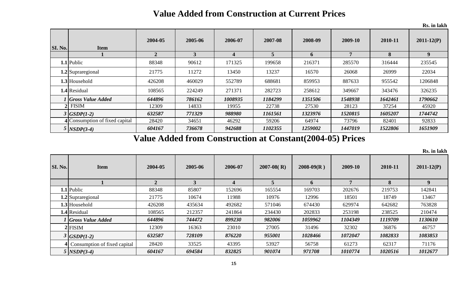### **Value Added from Construction at Current Prices**

|                |                                |              |         |         |         |         |         |         | Rs. in lakh    |
|----------------|--------------------------------|--------------|---------|---------|---------|---------|---------|---------|----------------|
| <b>SI. No.</b> | <b>Item</b>                    | 2004-05      | 2005-06 | 2006-07 | 2007-08 | 2008-09 | 2009-10 | 2010-11 | $2011 - 12(P)$ |
|                |                                | $\mathbf{2}$ | 3       | 4       | 5       | 6       | 7       | 8       | 9 <sup>°</sup> |
|                | $1.1$ Public                   | 88348        | 90612   | 171325  | 199658  | 216371  | 285570  | 316444  | 235545         |
|                | 1.2 Supraregional              | 21775        | 11272   | 13450   | 13237   | 16570   | 26068   | 26999   | 22034          |
|                | 1.3 Household                  | 426208       | 460029  | 552789  | 688681  | 859953  | 887633  | 955542  | 1206848        |
|                | 1.4 Residual                   | 108565       | 224249  | 271371  | 282723  | 258612  | 349667  | 343476  | 326235         |
|                | <sup>1</sup> Gross Value Added | 644896       | 786162  | 1008935 | 1184299 | 1351506 | 1548938 | 1642461 | 1790662        |
|                | $2$ FISIM                      | 12309        | 14833   | 19955   | 22738   | 27530   | 28123   | 37254   | 45920          |
|                | $3  GSDP(1-2) $                | 632587       | 771329  | 988980  | 1161561 | 1323976 | 1520815 | 1605207 | 1744742        |
|                | 4 Consumption of fixed capital | 28420        | 34651   | 46292   | 59206   | 64974   | 73796   | 82401   | 92833          |
|                | $5$ NSDP(3-4)                  | 604167       | 736678  | 942688  | 1102355 | 1259002 | 1447019 | 1522806 | 1651909        |

**Value Added from Construction at Constant(2004-05) Prices**

| SI. No. | <b>Item</b>                  | 2004-05      | 2005-06 | 2006-07                 | $2007-08$ (R) | $2008-09(R)$ | 2009-10 | 2010-11 | $2011 - 12(P)$ |
|---------|------------------------------|--------------|---------|-------------------------|---------------|--------------|---------|---------|----------------|
|         |                              | $\mathbf{2}$ |         | $\overline{\mathbf{4}}$ |               | <sub>0</sub> | 7       | 8       | <b>Q</b>       |
|         | $1.1$ Public                 | 88348        | 85807   | 152696                  | 165554        | 169703       | 202676  | 219753  | 142841         |
|         | 1.2 Supraregional            | 21775        | 10674   | 11988                   | 10976         | 12996        | 18501   | 18749   | 13467          |
|         | <b>1.3</b> Household         | 426208       | 435634  | 492682                  | 571046        | 674430       | 629974  | 642682  | 763828         |
|         | 1.4 Residual                 | 108565       | 212357  | 241864                  | 234430        | 202833       | 253198  | 238525  | 210474         |
|         | <b>Gross Value Added</b>     | 644896       | 744472  | 899230                  | 982006        | 1059962      | 1104349 | 1119709 | 1130610        |
|         | $2$ FISIM                    | 12309        | 16363   | 23010                   | 27005         | 31496        | 32302   | 36876   | 46757          |
|         | $3 GSDP(1-2) $               | 632587       | 728109  | 876220                  | 955001        | 1028466      | 1072047 | 1082833 | 1083853        |
|         | Consumption of fixed capital | 28420        | 33525   | 43395                   | 53927         | 56758        | 61273   | 62317   | 71176          |
|         | $5$ NSDP(3-4)                | 604167       | 694584  | 832825                  | 901074        | 971708       | 1010774 | 1020516 | 1012677        |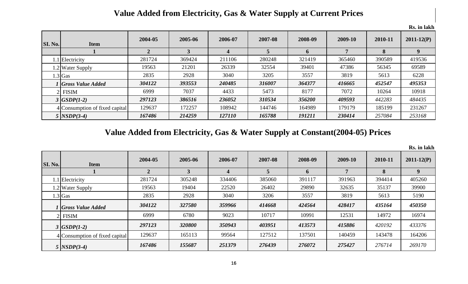#### **Value Added from Electricity, Gas & Water Supply at Current Prices**

| <b>SI. No.</b> | <b>Item</b>                    | 2004-05 | 2005-06 | 2006-07 | 2007-08 | 2008-09     | 2009-10 | 2010-11 | $2011 - 12(P)$ |
|----------------|--------------------------------|---------|---------|---------|---------|-------------|---------|---------|----------------|
|                |                                | 2       |         | 4       |         | $\mathbf b$ |         | 8       | 9              |
|                | 1.1 Electricity                | 281724  | 369424  | 211106  | 280248  | 321419      | 365460  | 390589  | 419536         |
|                | 1.2 Water Supply               | 19563   | 21201   | 26339   | 32554   | 39401       | 47386   | 56345   | 69589          |
|                | $1.3$ Gas                      | 2835    | 2928    | 3040    | 3205    | 3557        | 3819    | 5613    | 6228           |
|                | <b>Gross Value Added</b>       | 304122  | 393553  | 240485  | 316007  | 364377      | 416665  | 452547  | 495353         |
|                | <b>FISIM</b>                   | 6999    | 7037    | 4433    | 5473    | 8177        | 7072    | 10264   | 10918          |
|                | $3  GSDP(1-2) $                | 297123  | 386516  | 236052  | 310534  | 356200      | 409593  | 442283  | 484435         |
|                | 4 Consumption of fixed capital | 129637  | 172257  | 108942  | 144746  | 164989      | 179179  | 185199  | 231267         |
|                | $5$ $NSDP(3-4)$                | 167486  | 214259  | 127110  | 165788  | 191211      | 230414  | 257084  | 253168         |

**Value Added from Electricity, Gas & Water Supply at Constant(2004-05) Prices**

| <b>SI. No.</b> | <b>Item</b>                    | 2004-05 | 2005-06 | 2006-07 | 2007-08 | 2008-09     | 2009-10 | 2010-11 | $2011 - 12(P)$ |
|----------------|--------------------------------|---------|---------|---------|---------|-------------|---------|---------|----------------|
|                |                                | 2       |         |         | 5       | $\mathbf b$ |         | 8       | 9              |
|                | 1.1 Electricity                | 281724  | 305248  | 334406  | 385060  | 391117      | 391963  | 394414  | 405260         |
|                | 1.2 Water Supply               | 19563   | 19404   | 22520   | 26402   | 29890       | 32635   | 35137   | 39900          |
|                | $1.3$ Gas                      | 2835    | 2928    | 3040    | 3206    | 3557        | 3819    | 5613    | 5190           |
|                | Gross Value Added              | 304122  | 327580  | 359966  | 414668  | 424564      | 428417  | 435164  | 450350         |
|                | <b>FISIM</b>                   | 6999    | 6780    | 9023    | 10717   | 10991       | 12531   | 14972   | 16974          |
|                | $3  GSDP(1-2) $                | 297123  | 320800  | 350943  | 403951  | 413573      | 415886  | 420192  | 433376         |
|                | 4 Consumption of fixed capital | 129637  | 165113  | 99564   | 127512  | 137501      | 140459  | 143478  | 164206         |
|                | $5$ NSDP(3-4)                  | 167486  | 155687  | 251379  | 276439  | 276072      | 275427  | 276714  | 269170         |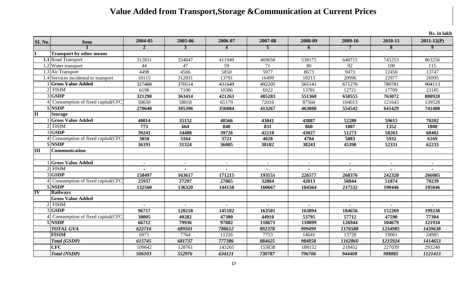## **Value Added from Transport,Storage &Communication at Current Prices**

| SI. No.                     | <b>Item</b>                            | 2004-05 | 2005-06        | 2006-07        | 2007-08        | 2008-09        | 2009-10        | 2010-11        | $2011 - 12(P)$ |
|-----------------------------|----------------------------------------|---------|----------------|----------------|----------------|----------------|----------------|----------------|----------------|
|                             |                                        | 2       | 3              | $\overline{4}$ | 5              | 6              | 7              | 8              | 9              |
|                             | <b>Transport by other means</b>        |         |                |                |                |                |                |                |                |
|                             | 1.1 Road Transport                     | 312831  | 354647         | 411949         | 469658         | 538175         | 640715         | 745253         | 863256         |
|                             | 1.2 Water transport                    | 44      | 47             | 59             | 71             | 80             | 92             | 100            | 115            |
|                             | $1.3$ Air Transport                    | 4498    | 4566           | 5850           | 5977           | 8673           | 9473           | 12450          | 13747          |
|                             | 1.4 Services incidental to transport   | 10115   | 312831         | 13791          | 16499          | 18213          | 20996          | 22977          | 26995          |
|                             | <b>Gross Value Added</b>               | 327488  | 370514         | 431649         | 492205         | 565141         | 671276         | 780781         | 904113         |
| $\mathcal{D}_{\mathcal{L}}$ | <b>FISIM</b>                           | 6198    | 7100           | 10386          | 6922           | 13781          | 12721          | 17709          | 23185          |
|                             | <b>GSDP</b>                            | 321290  | 363414         | 421263         | 485283         | 551360         | 658555         | 763072         | 880928         |
|                             | Consumption of fixed capital(CFC)      | 50650   | 58018          | 65179          | 72016          | 87560          | 104013         | 121643         | 139528         |
|                             | 5 NSDP                                 | 270640  | 305396         | 356084         | 413267         | 463800         | 554542         | 641429         | 741400         |
| $\overline{\mathbf{H}}$     | <b>Storage</b>                         |         |                |                |                |                |                |                |                |
|                             | <b>Gross Value Added</b>               | 40014   | 35152          | 40566          | 43041          | 43887          | 52280          | 59615          | 70202          |
|                             | <b>FISIM</b>                           | 773     | 664            | 840            | 831            | 860            | 1007           | 1352           | 1800           |
|                             | 3 GSDP                                 | 39241   | 34488          | 39726          | 42210          | 43027          | 51273          | 58263          | 68402          |
|                             | Consumption of fixed capital(CFC       | 3050    | 3164           | 3721           | 4028           | 4784           | 5883           | 5932           | 6169           |
|                             | 5 NSDP                                 | 36191   | 31324          | 36005          | 38182          | 38243          | 45390          | 52331          | 62233          |
| $\overline{\mathbf{H}}$     | <b>Communication</b>                   |         |                |                |                |                |                |                |                |
|                             |                                        |         |                |                |                |                |                |                |                |
|                             | <b>School</b> School Gross Value Added |         | $\blacksquare$ | $\blacksquare$ | $\blacksquare$ | $\blacksquare$ | $\blacksquare$ | $\blacksquare$ |                |
| $\overline{2}$              | <b>FISIM</b>                           |         |                |                |                |                |                |                |                |
|                             | 3 GSDP                                 | 158497  | 163617         | 171215         | 193551         | 226577         | 268376         | 242320         | 266085         |
|                             | Consumption of fixed capital(CFC       | 25937   | 27297          | 27065          | 32884          | 42013          | 50844          | 51874          | 70239          |
|                             | 5 NSDP                                 | 132560  | 136320         | 144150         | 160667         | 184564         | 217532         | 190446         | 195846         |
| $\overline{\mathbf{IV}}$    | <b>Railways</b>                        |         |                |                |                |                |                |                |                |
|                             | <b>Gross Value Added</b>               |         |                |                |                |                |                |                |                |
| $\overline{2}$              | <b>FISIM</b>                           |         |                |                |                |                |                |                |                |
|                             | 3 GSDP                                 | 96717   | 120218         | 145182         | 163581         | 163894         | 184656         | 152269         | 199238         |
|                             | Consumption of fixed capital (CFC      | 30005   | 40282          | 47300          | 44910          | 53795          | 57712          | 47590          | 77304          |
|                             | 5 NSDP                                 | 66712   | 79936          | 97882          | 118671         | 110099         | 126944         | 104679         | 121934         |
|                             | <b>TOTAL GVA</b>                       | 622716  | 689501         | 788612         | 892378         | 999499         | 1176588        | 1234985        | 1439638        |
|                             | <b>FISIM</b>                           | 6971    | 7764           | 11226          | 7753           | 14641          | 13728          | 19061          | 24985          |
|                             | Total (GSDP)                           | 615745  | 681737         | 777386         | 884625         | 984858         | 1162860        | 1215924        | 1414653        |
|                             | <b>CFC</b>                             | 109642  | 128761         | 143265         | 153838         | 188152         | 218452         | 227039         | 293240         |
|                             | <b>Total (NSDP)</b>                    | 506103  | 552976         | 634121         | 730787         | 796706         | 944408         | 988885         | 1121413        |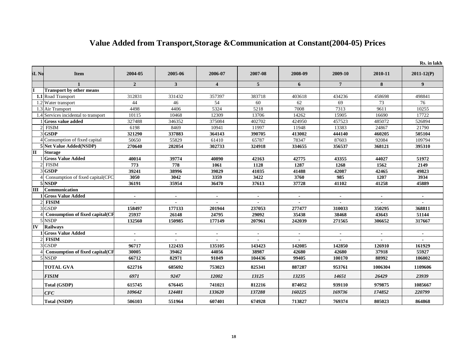#### **Value Added from Transport,Storage &Communication at Constant(2004-05) Prices**

|                  |                                        |                |                |                          |                          |                |                 |                | Rs. in lakh    |
|------------------|----------------------------------------|----------------|----------------|--------------------------|--------------------------|----------------|-----------------|----------------|----------------|
| SLN <sub>0</sub> | <b>Item</b>                            | 2004-05        | 2005-06        | 2006-07                  | 2007-08                  | 2008-09        | 2009-10         | 2010-11        | $2011 - 12(P)$ |
|                  |                                        | $\overline{2}$ | 3              | $\overline{\mathbf{4}}$  | $\overline{5}$           | 6              | $7\overline{ }$ | 8              | 9 <sup>°</sup> |
|                  | <b>Transport by other means</b>        |                |                |                          |                          |                |                 |                |                |
|                  | 1.1 Road Transport                     | 312831         | 331432         | 357397                   | 383718                   | 403618         | 434236          | 458698         | 498841         |
|                  | 1.2 Water transport                    | 44             | 46             | 54                       | 60                       | 62             | 69              | 73             | 76             |
|                  | 1.3 Air Transport                      | 4498           | 4406           | 5324                     | 5218                     | 7008           | 7313            | 9611           | 10255          |
|                  | 1.4 Services incidental to transport   | 10115          | 10468          | 12309                    | 13706                    | 14262          | 15905           | 16690          | 17722          |
|                  | 1 Gross value added                    | 327488         | 346352         | 375084                   | 402702                   | 424950         | 457523          | 485072         | 526894         |
|                  | $2$ FISIM                              | 6198           | 8469           | 10941                    | 11997                    | 11948          | 13383           | 24867          | 21790          |
|                  | 3GSDP                                  | 321290         | 337883         | 364143                   | 390705                   | 413002         | 444140          | 460205         | 505104         |
|                  | 4 Consumption of fixed capital         | 50650          | 55829          | 61410                    | 65787                    | 78347          | 87603           | 92084          | 109794         |
|                  | 5 Net Value Added(NSDP)                | 270640         | 282054         | 302733                   | 324918                   | 334655         | 356537          | 368121         | 395310         |
| IП               | <b>Storage</b>                         |                |                |                          |                          |                |                 |                |                |
|                  | <b>Gross Value Added</b>               | 40014          | 39774          | 40890                    | 42163                    | 42775          | 43355           | 44027          | 51972          |
|                  | $2$ FISIM                              | 773            | 778            | 1061                     | 1128                     | 1287           | 1268            | 1562           | 2149           |
|                  | 3 GSDP                                 | 39241          | 38996          | 39829                    | 41035                    | 41488          | 42087           | 42465          | 49823          |
|                  | 4 Consumption of fixed capital (CFC    | 3050           | 3042           | 3359                     | 3422                     | 3760           | 985             | 1207           | 3934           |
|                  | 5 NSDP                                 | 36191          | 35954          | 36470                    | 37613                    | 37728          | 41102           | 41258          | 45889          |
| $\mathbf{III}$   | Communication                          |                |                |                          |                          |                |                 |                |                |
|                  | 1 Gross Value Added                    |                | $\blacksquare$ |                          | $\blacksquare$           |                |                 |                |                |
|                  | <b>FISIM</b>                           | $\blacksquare$ | $\mathbf{r}$   | $\overline{\phantom{a}}$ | $\overline{\phantom{0}}$ | $\overline{a}$ | $\overline{a}$  | $\overline{a}$ | $\overline{a}$ |
|                  | $3$ <sub>GSDP</sub>                    | 158497         | 177133         | 201944                   | 237053                   | 277477         | 310033          | 350295         | 368811         |
|                  | <b>Consumption of fixed capital(CF</b> | 25937          | 26148          | 24795                    | 29092                    | 35438          | 38468           | 43643          | 51144          |
|                  | 5 NSDP                                 | 132560         | 150985         | 177149                   | 207961                   | 242039         | 271565          | 306652         | 317667         |
| IV               | <b>Railways</b>                        |                |                |                          |                          |                |                 |                |                |
|                  | <b>1</b> Gross Value Added             |                | $\blacksquare$ |                          | $\overline{\phantom{a}}$ |                |                 | $\blacksquare$ |                |
|                  | $2$ FISIM                              |                |                |                          |                          |                |                 |                |                |
|                  | $3$ <sub>GSDP</sub>                    | 96717          | 122433         | 135105                   | 143423                   | 142085         | 142850          | 126910         | 161929         |
|                  | <b>Consumption of fixed capital(CF</b> | 30005          | 39462          | 44056                    | 38987                    | 42680          | 42680           | 37918          | 55927          |
|                  | 5 NSDP                                 | 66712          | 82971          | 91049                    | 104436                   | 99405          | 100170          | 88992          | 106002         |
|                  | <b>TOTAL GVA</b>                       | 622716         | 685692         | 753023                   | 825341                   | 887287         | 953761          | 1006304        | 1109606        |
|                  | <b>FISIM</b>                           | 6971           | 9247           | 12002                    | 13125                    | 13235          | 14651           | 26429          | 23939          |
|                  | Total (GSDP)                           | 615745         | 676445         | 741021                   | 812216                   | 874052         | 939110          | 979875         | 1085667        |
|                  | CFC                                    | 109642         | 124481         | 133620                   | 137288                   | 160225         | 169736          | 174852         | 220799         |
|                  | <b>Total (NSDP)</b>                    | 506103         | 551964         | 607401                   | 674928                   | 713827         | 769374          | 805023         | 864868         |

18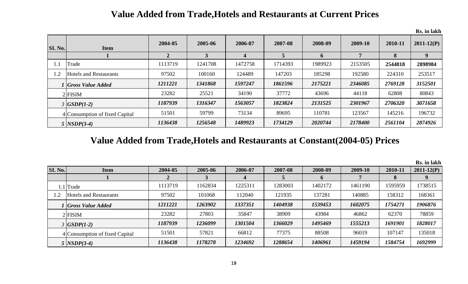#### **Value Added from Trade,Hotels and Restaurants at Current Prices**

**SI. No. Item 2004-05 2005-06 2006-07 2007-08 2008-09 2009-10 2010-11 2011-12(P) 1 2 3 4 5 6 7 8 9** 1.1 Trade 1113719 1241708 1472758 1714393 1989923 2153505 **2544818 2898984** 1.2 Hotels and Restaurants 197502 100160 124489 147203 185298 185298 224310 224310 253517 *1 Gross Value Added 1211221 1341868 1597247 1861596 2175221 2346085 2769128 3152501* 2 FISIM 23282 25521 34190 37772 43696 44118 62808 80843 *3 GSDP(1-2) 1187939 1316347 1563057 1823824 2131525 2301967 2706320 3071658*

#### **Value Added from Trade,Hotels and Restaurants at Constant(2004-05) Prices**

4 Consumption of fixed Capital 51501 59799 73134 89695 110781 123567 145216 196732

*5 NSDP(3-4) 1136438 1256548 1489923 1734129 2020744 2178400 2561104 2874926*

|                |                                |         |         |         |         |             |         |         | Rs. in lakh    |
|----------------|--------------------------------|---------|---------|---------|---------|-------------|---------|---------|----------------|
| <b>SI. No.</b> | <b>Item</b>                    | 2004-05 | 2005-06 | 2006-07 | 2007-08 | 2008-09     | 2009-10 | 2010-11 | $2011 - 12(P)$ |
|                |                                |         |         |         |         | $\mathbf 0$ |         |         |                |
|                | 1.1 Trade                      | 1113719 | 1162834 | 1225311 | 1283003 | 1402172     | 1461190 | 1595959 | 1738515        |
|                | <b>Hotels and Restaurants</b>  | 97502   | 101068  | 112040  | 121935  | 137281      | 140885  | 158312  | 168361         |
|                | <b>Gross Value Added</b>       | 1211221 | 1263902 | 1337351 | 1404938 | 1539453     | 1602075 | 1754271 | 1906876        |
|                | $2$ FISIM                      | 23282   | 27803   | 35847   | 38909   | 43984       | 46862   | 62370   | 78859          |
|                | $3  GSDP(1-2) $                | 1187939 | 1236099 | 1301504 | 1366029 | 1495469     | 1555213 | 1691901 | 1828017        |
|                | 4 Consumption of fixed Capital | 51501   | 57821   | 66812   | 77375   | 88508       | 96019   | 107147  | 135018         |
|                | $5$ $NSDP(3-4)$                | 1136438 | 1178278 | 1234692 | 1288654 | 1406961     | 1459194 | 1584754 | 1692999        |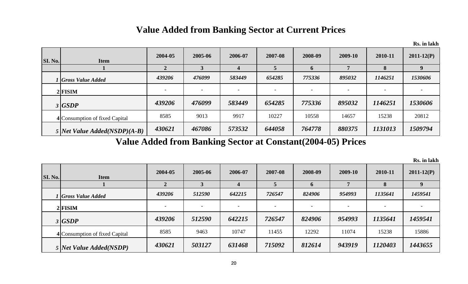### **Value Added from Banking Sector at Current Prices**

|                |                                  |                          |                          |                          |         |                          |         |                          | Rs. in lakh              |
|----------------|----------------------------------|--------------------------|--------------------------|--------------------------|---------|--------------------------|---------|--------------------------|--------------------------|
| <b>SI. No.</b> | <b>Item</b>                      | 2004-05                  | 2005-06                  | 2006-07                  | 2007-08 | 2008-09                  | 2009-10 | 2010-11                  | $2011 - 12(P)$           |
|                |                                  |                          |                          |                          |         | $\mathbf 0$              |         | 8                        | 9                        |
|                | l Gross Value Added              | 439206                   | 476099                   | 583449                   | 654285  | 775336                   | 895032  | 1146251                  | 1530606                  |
|                | $2$ FISIM                        | $\overline{\phantom{a}}$ | $\overline{\phantom{a}}$ | $\overline{\phantom{0}}$ |         | $\overline{\phantom{0}}$ |         | $\overline{\phantom{a}}$ | $\overline{\phantom{a}}$ |
|                | 3  GSDP                          | 439206                   | 476099                   | 583449                   | 654285  | 775336                   | 895032  | 1146251                  | 1530606                  |
|                | 4 Consumption of fixed Capital   | 8585                     | 9013                     | 9917                     | 10227   | 10558                    | 14657   | 15238                    | 20812                    |
|                | 5 Net Value $A dde d(NSDP)(A-B)$ | 430621                   | 467086                   | 573532                   | 644058  | 764778                   | 880375  | 1131013                  | 1509794                  |

**Value Added from Banking Sector at Constant(2004-05) Prices**

| <b>SI. No.</b> | <b>Item</b>                    | 2004-05                  | 2005-06 | 2006-07 | 2007-08 | 2008-09                  | 2009-10                  | 2010-11                  | $2011 - 12(P)$ |
|----------------|--------------------------------|--------------------------|---------|---------|---------|--------------------------|--------------------------|--------------------------|----------------|
|                |                                |                          |         |         |         | $\mathbf{p}$             |                          | 8                        |                |
|                | 1 Gross Value Added            | 439206                   | 512590  | 642215  | 726547  | 824906                   | 954993                   | 1135641                  | 1459541        |
|                | $2$ FISIM                      | $\overline{\phantom{0}}$ |         |         |         | $\overline{\phantom{0}}$ | $\overline{\phantom{0}}$ | $\overline{\phantom{a}}$ |                |
|                | 3   GSDP                       | 439206                   | 512590  | 642215  | 726547  | 824906                   | 954993                   | 1135641                  | 1459541        |
|                | 4 Consumption of fixed Capital | 8585                     | 9463    | 10747   | 11455   | 12292                    | 11074                    | 15238                    | 15886          |
|                | 5 Net Value Added(NSDP)        | 430621                   | 503127  | 631468  | 715092  | 812614                   | 943919                   | 1120403                  | 1443655        |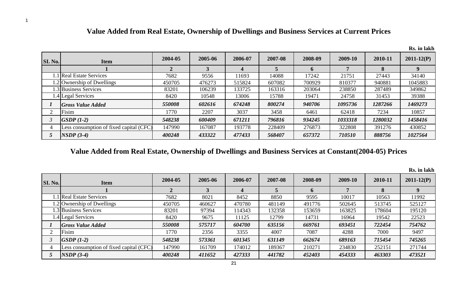|         |                                         |         |         |         |         |         |         |         | Rs. in lakh    |
|---------|-----------------------------------------|---------|---------|---------|---------|---------|---------|---------|----------------|
| SI. No. | <b>Item</b>                             | 2004-05 | 2005-06 | 2006-07 | 2007-08 | 2008-09 | 2009-10 | 2010-11 | $2011 - 12(P)$ |
|         |                                         | 2       |         |         |         |         |         |         |                |
|         | 1.1 Real Estate Services                | 7682    | 9556    | 11693   | 14088   | 17242   | 21751   | 27443   | 34140          |
|         | 2 Ownership of Dwellings                | 450705  | 476273  | 515824  | 607082  | 700929  | 810377  | 940881  | 1045883        |
|         | 3 Business Services                     | 83201   | 106239  | 133725  | 163316  | 203064  | 238850  | 287489  | 349862         |
|         | 1.4 Legal Services                      | 8420    | 10548   | 13006   | 15788   | 19471   | 24758   | 31453   | 39388          |
|         | <b>Gross Value Added</b>                | 550008  | 602616  | 674248  | 800274  | 940706  | 1095736 | 1287266 | 1469273        |
|         | Fisim                                   | 1770    | 2207    | 3037    | 3458    | 6461    | 62418   | 7234    | 10857          |
|         | $GSDP (1-2)$                            | 548238  | 600409  | 671211  | 796816  | 934245  | 1033318 | 1280032 | 1458416        |
|         | Less consumption of fixed capital (CFC) | 147990  | 167087  | 193778  | 228409  | 276873  | 322808  | 391276  | 430852         |
|         | $NSDP(3-4)$                             | 400248  | 433322  | 477433  | 568407  | 657372  | 710510  | 888756  | 1027564        |

#### **Value Added from Real Estate, Ownership of Dwellings and Business Services at Current Prices**

#### **Value Added from Real Estate, Ownership of Dwellings and Business Services at Constant(2004-05) Prices**

|                |                                         |              |         |         |         |         |         |         | лэ. ш іаліі    |
|----------------|-----------------------------------------|--------------|---------|---------|---------|---------|---------|---------|----------------|
| <b>SI. No.</b> | <b>Item</b>                             | 2004-05      | 2005-06 | 2006-07 | 2007-08 | 2008-09 | 2009-10 | 2010-11 | $2011 - 12(P)$ |
|                |                                         | $\mathbf{2}$ |         |         |         |         |         | 8       |                |
|                | 1.1 Real Estate Services                | 7682         | 8021    | 8452    | 8850    | 9595    | 10017   | 10563   | 11992          |
|                | 1.2 Ownership of Dwellings              | 450705       | 460627  | 470780  | 481149  | 491776  | 502645  | 513745  | 525127         |
|                | 1.3 Business Services                   | 83201        | 97394   | 114343  | 132358  | 153659  | 163825  | 178604  | 195120         |
|                | 1.4 Legal Services                      | 8420         | 9675    | 11125   | 12799   | 14731   | 16964   | 19542   | 22523          |
|                | <b>Gross Value Added</b>                | 550008       | 575717  | 604700  | 635156  | 669761  | 693451  | 722454  | 754762         |
|                | Fisim                                   | 1770         | 2356    | 3355    | 4007    | 7087    | 4288    | 7000    | 9497           |
|                | $GSDP (1-2)$                            | 548238       | 573361  | 601345  | 631149  | 662674  | 689163  | 715454  | 745265         |
| 4              | Less consumption of fixed capital (CFC) | 147990       | 161709  | 174012  | 189367  | 210271  | 234830  | 252151  | 271744         |
|                | $\text{NSDP}(3-4)$                      | 400248       | 411652  | 427333  | 441782  | 452403  | 454333  | 463303  | 473521         |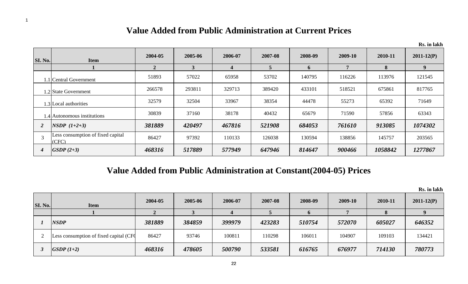#### **Value Added from Public Administration at Current Prices**

|                          |                                            |                |              |         |         |         |         |         | Rs. in lakh    |
|--------------------------|--------------------------------------------|----------------|--------------|---------|---------|---------|---------|---------|----------------|
| <b>SI. No.</b>           | <b>Item</b>                                | 2004-05        | 2005-06      | 2006-07 | 2007-08 | 2008-09 | 2009-10 | 2010-11 | $2011 - 12(P)$ |
|                          |                                            | $\overline{2}$ | $\mathbf{3}$ | 4       | 5       | 6       | 7       | 8       | 9 <sup>°</sup> |
|                          | 1.1 Central Government                     | 51893          | 57022        | 65958   | 53702   | 140795  | 116226  | 113976  | 121545         |
|                          | 1.2 State Government                       | 266578         | 293811       | 329713  | 389420  | 433101  | 518521  | 675861  | 817765         |
|                          | 1.3 Local authorities                      | 32579          | 32504        | 33967   | 38354   | 44478   | 55273   | 65392   | 71649          |
|                          | 1.4 Autonomous institutions                | 30839          | 37160        | 38178   | 40432   | 65679   | 71590   | 57856   | 63343          |
| $\overline{2}$           | $NSDP (1+2+3)$                             | 381889         | 420497       | 467816  | 521908  | 684053  | 761610  | 913085  | 1074302        |
| $\overline{\mathcal{E}}$ | Less consumption of fixed capital<br>(CFC) | 86427          | 97392        | 110133  | 126038  | 130594  | 138856  | 145757  | 203565         |
| $\boldsymbol{4}$         | $GSDP(2+3)$                                | 468316         | 517889       | 577949  | 647946  | 814647  | 900466  | 1058842 | 1277867        |

## **Value Added from Public Administration at Constant(2004-05) Prices**

| SI. No. | <b>Item</b>                             | 2004-05 | 2005-06 | 2006-07 | 2007-08 | 2008-09 | 2009-10 | 2010-11  | $2011 - 12(P)$ |
|---------|-----------------------------------------|---------|---------|---------|---------|---------|---------|----------|----------------|
|         |                                         |         |         |         |         |         |         | $\Omega$ |                |
|         | <b>NSDP</b>                             | 381889  | 384859  | 399979  | 423283  | 510754  | 572070  | 605027   | 646352         |
|         | Less consumption of fixed capital (CFC) | 86427   | 93746   | 100811  | 110298  | 106011  | 104907  | 109103   | 134421         |
|         | $GSDP (1+2)$                            | 468316  | 478605  | 500790  | 533581  | 616765  | 676977  | 714130   | 780773         |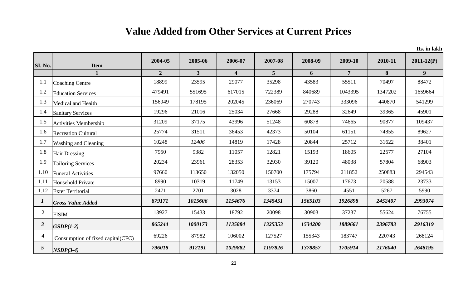# **Value Added from Other Services at Current Prices**

| SI. No.        | <b>Item</b>                        | 2004-05        | 2005-06      | 2006-07                 | 2007-08        | 2008-09 | 2009-10        | 2010-11 | $2011 - 12(P)$ |
|----------------|------------------------------------|----------------|--------------|-------------------------|----------------|---------|----------------|---------|----------------|
|                |                                    | $\overline{2}$ | $\mathbf{3}$ | $\overline{\mathbf{4}}$ | 5 <sup>5</sup> | 6       | $\overline{7}$ | 8       | 9              |
| 1.1            | <b>Coaching Centre</b>             | 18899          | 23595        | 29077                   | 35298          | 43583   | 55511          | 70497   | 88472          |
| 1.2            | <b>Education Services</b>          | 479491         | 551695       | 617015                  | 722389         | 840689  | 1043395        | 1347202 | 1659664        |
| 1.3            | <b>Medical and Health</b>          | 156949         | 178195       | 202045                  | 236069         | 270743  | 333096         | 440870  | 541299         |
| 1.4            | <b>Sanitary Services</b>           | 19296          | 21016        | 25034                   | 27668          | 29288   | 32649          | 39365   | 45901          |
| 1.5            | <b>Activities Membership</b>       | 31209          | 37175        | 43996                   | 51248          | 60878   | 74665          | 90877   | 109437         |
| 1.6            | <b>Recreation Cultural</b>         | 25774          | 31511        | 36453                   | 42373          | 50104   | 61151          | 74855   | 89627          |
| 1.7            | <b>Washing and Cleaning</b>        | 10248          | 12406        | 14819                   | 17428          | 20844   | 25712          | 31622   | 38401          |
| 1.8            | <b>Hair Dressing</b>               | 7950           | 9382         | 11057                   | 12821          | 15193   | 18605          | 22577   | 27104          |
| 1.9            | <b>Tailoring Services</b>          | 20234          | 23961        | 28353                   | 32930          | 39120   | 48038          | 57804   | 68903          |
| 1.10           | <b>Funeral Activities</b>          | 97660          | 113650       | 132050                  | 150700         | 175794  | 211852         | 250883  | 294543         |
| 1.11           | <b>Household Private</b>           | 8990           | 10319        | 11749                   | 13153          | 15007   | 17673          | 20588   | 23733          |
| 1.12           | <b>Exter Territorial</b>           | 2471           | 2701         | 3028                    | 3374           | 3860    | 4551           | 5267    | 5990           |
|                | <b>Gross Value Added</b>           | 879171         | 1015606      | 1154676                 | 1345451        | 1565103 | 1926898        | 2452407 | 2993074        |
| $\overline{2}$ | <b>FISIM</b>                       | 13927          | 15433        | 18792                   | 20098          | 30903   | 37237          | 55624   | 76755          |
| $\mathbf{3}$   | $GSDP(1-2)$                        | 865244         | 1000173      | 1135884                 | 1325353        | 1534200 | 1889661        | 2396783 | 2916319        |
| $\overline{4}$ | Consumption of fixed capital (CFC) | 69226          | 87982        | 106002                  | 127527         | 155343  | 183747         | 220743  | 268124         |
| 5 <sup>5</sup> | $NSDP(3-4)$                        | 796018         | 912191       | 1029882                 | 1197826        | 1378857 | 1705914        | 2176040 | 2648195        |